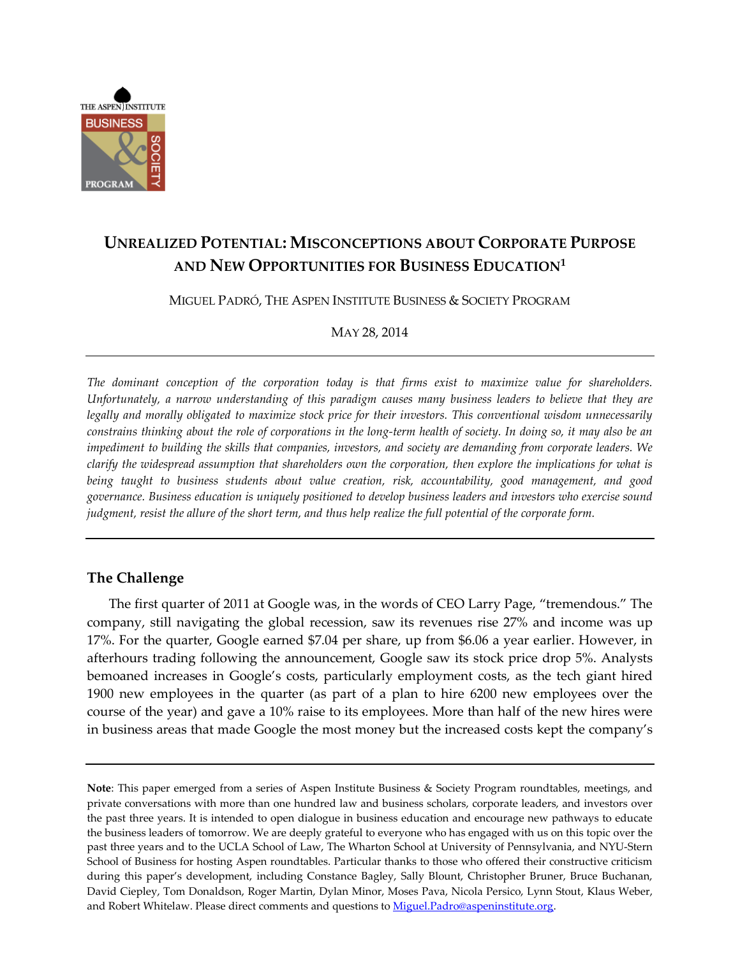

# **UNREALIZED POTENTIAL: MISCONCEPTIONS ABOUT CORPORATE PURPOSE AND NEW OPPORTUNITIES FOR BUSINESS EDUCATION<sup>1</sup>**

MIGUEL PADRÓ, THE ASPEN INSTITUTE BUSINESS & SOCIETY PROGRAM

MAY 28, 2014

*The dominant conception of the corporation today is that firms exist to maximize value for shareholders. Unfortunately, a narrow understanding of this paradigm causes many business leaders to believe that they are legally and morally obligated to maximize stock price for their investors. This conventional wisdom unnecessarily* constrains thinking about the role of corporations in the long-term health of society. In doing so, it may also be an impediment to building the skills that companies, investors, and society are demanding from corporate leaders. We clarify the widespread assumption that shareholders own the corporation, then explore the implications for what is *being taught to business students about value creation, risk, accountability, good management, and good governance. Business education is uniquely positioned to develop business leaders and investors who exercise sound* judgment, resist the allure of the short term, and thus help realize the full potential of the corporate form.

## **The Challenge**

The first quarter of 2011 at Google was, in the words of CEO Larry Page, "tremendous." The company, still navigating the global recession, saw its revenues rise 27% and income was up 17%. For the quarter, Google earned \$7.04 per share, up from \$6.06 a year earlier. However, in afterhours trading following the announcement, Google saw its stock price drop 5%. Analysts bemoaned increases in Google's costs, particularly employment costs, as the tech giant hired 1900 new employees in the quarter (as part of a plan to hire 6200 new employees over the course of the year) and gave a 10% raise to its employees. More than half of the new hires were in business areas that made Google the most money but the increased costs kept the company's

**Note**: This paper emerged from a series of Aspen Institute Business & Society Program roundtables, meetings, and private conversations with more than one hundred law and business scholars, corporate leaders, and investors over the past three years. It is intended to open dialogue in business education and encourage new pathways to educate the business leaders of tomorrow. We are deeply grateful to everyone who has engaged with us on this topic over the past three years and to the UCLA School of Law, The Wharton School at University of Pennsylvania, and NYU-Stern School of Business for hosting Aspen roundtables. Particular thanks to those who offered their constructive criticism during this paper's development, including Constance Bagley, Sally Blount, Christopher Bruner, Bruce Buchanan, David Ciepley, Tom Donaldson, Roger Martin, Dylan Minor, Moses Pava, Nicola Persico, Lynn Stout, Klaus Weber, and Robert Whitelaw. Please direct comments and questions to [Miguel.Padro@aspeninstitute.org.](mailto:Miguel.Padro@aspeninstitute.org)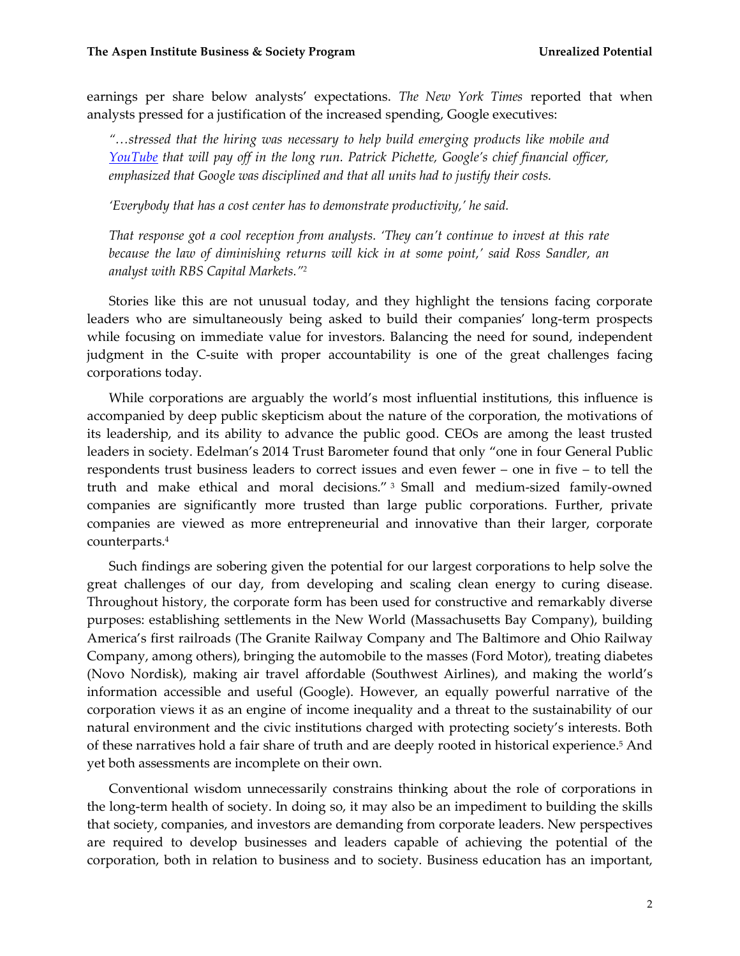earnings per share below analysts' expectations. *The New York Times* reported that when analysts pressed for a justification of the increased spending, Google executives:

*"…stressed that the hiring was necessary to help build emerging products like mobile and [YouTube](http://topics.nytimes.com/top/news/business/companies/youtube/index.html?inline=nyt-org) that will pay off in the long run. Patrick Pichette, Google's chief financial officer, emphasized that Google was disciplined and that all units had to justify their costs.*

*'Everybody that has a cost center has to demonstrate productivity,' he said.*

*That response got a cool reception from analysts. 'They can't continue to invest at this rate because the law of diminishing returns will kick in at some point,' said Ross Sandler, an analyst with RBS Capital Markets."<sup>2</sup>*

Stories like this are not unusual today, and they highlight the tensions facing corporate leaders who are simultaneously being asked to build their companies' long-term prospects while focusing on immediate value for investors. Balancing the need for sound, independent judgment in the C-suite with proper accountability is one of the great challenges facing corporations today.

While corporations are arguably the world's most influential institutions, this influence is accompanied by deep public skepticism about the nature of the corporation, the motivations of its leadership, and its ability to advance the public good. CEOs are among the least trusted leaders in society. Edelman's 2014 Trust Barometer found that only "one in four General Public respondents trust business leaders to correct issues and even fewer – one in five – to tell the truth and make ethical and moral decisions." <sup>3</sup> Small and medium-sized family-owned companies are significantly more trusted than large public corporations. Further, private companies are viewed as more entrepreneurial and innovative than their larger, corporate counterparts.<sup>4</sup>

Such findings are sobering given the potential for our largest corporations to help solve the great challenges of our day, from developing and scaling clean energy to curing disease. Throughout history, the corporate form has been used for constructive and remarkably diverse purposes: establishing settlements in the New World (Massachusetts Bay Company), building America's first railroads (The Granite Railway Company and The Baltimore and Ohio Railway Company, among others), bringing the automobile to the masses (Ford Motor), treating diabetes (Novo Nordisk), making air travel affordable (Southwest Airlines), and making the world's information accessible and useful (Google). However, an equally powerful narrative of the corporation views it as an engine of income inequality and a threat to the sustainability of our natural environment and the civic institutions charged with protecting society's interests. Both of these narratives hold a fair share of truth and are deeply rooted in historical experience.<sup>5</sup> And yet both assessments are incomplete on their own.

Conventional wisdom unnecessarily constrains thinking about the role of corporations in the long-term health of society. In doing so, it may also be an impediment to building the skills that society, companies, and investors are demanding from corporate leaders. New perspectives are required to develop businesses and leaders capable of achieving the potential of the corporation, both in relation to business and to society. Business education has an important,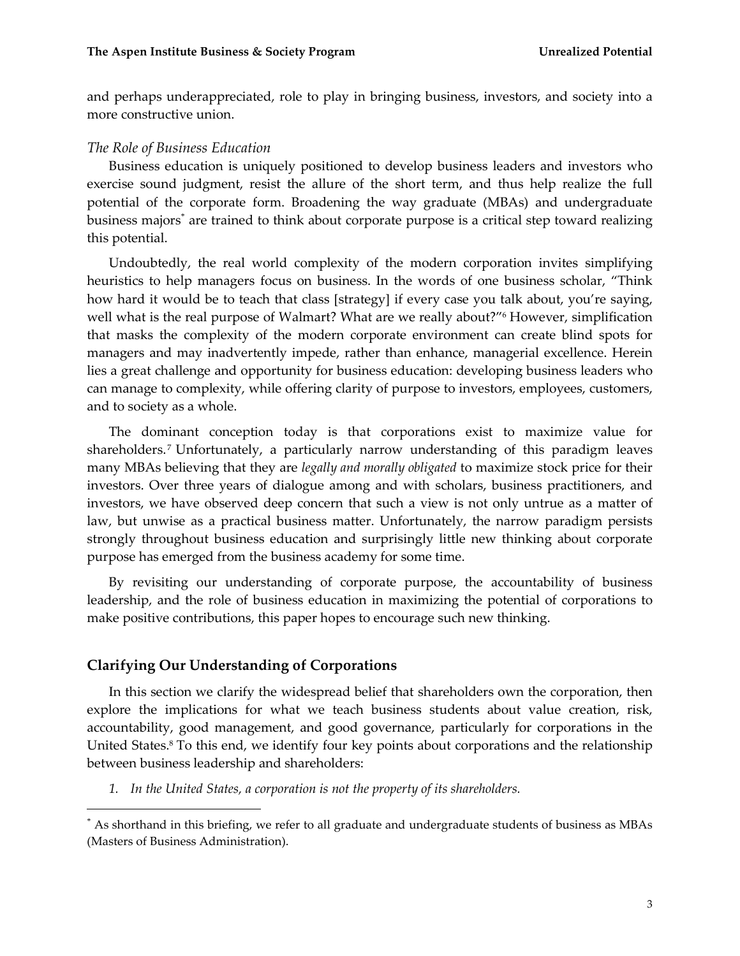and perhaps underappreciated, role to play in bringing business, investors, and society into a more constructive union.

#### *The Role of Business Education*

Business education is uniquely positioned to develop business leaders and investors who exercise sound judgment, resist the allure of the short term, and thus help realize the full potential of the corporate form. Broadening the way graduate (MBAs) and undergraduate business majors<sup>\*</sup> are trained to think about corporate purpose is a critical step toward realizing this potential.

Undoubtedly, the real world complexity of the modern corporation invites simplifying heuristics to help managers focus on business. In the words of one business scholar, "Think how hard it would be to teach that class [strategy] if every case you talk about, you're saying, well what is the real purpose of Walmart? What are we really about?"<sup>6</sup> However, simplification that masks the complexity of the modern corporate environment can create blind spots for managers and may inadvertently impede, rather than enhance, managerial excellence. Herein lies a great challenge and opportunity for business education: developing business leaders who can manage to complexity, while offering clarity of purpose to investors, employees, customers, and to society as a whole.

The dominant conception today is that corporations exist to maximize value for shareholders.<sup>7</sup> Unfortunately, a particularly narrow understanding of this paradigm leaves many MBAs believing that they are *legally and morally obligated* to maximize stock price for their investors. Over three years of dialogue among and with scholars, business practitioners, and investors, we have observed deep concern that such a view is not only untrue as a matter of law, but unwise as a practical business matter. Unfortunately, the narrow paradigm persists strongly throughout business education and surprisingly little new thinking about corporate purpose has emerged from the business academy for some time.

By revisiting our understanding of corporate purpose, the accountability of business leadership, and the role of business education in maximizing the potential of corporations to make positive contributions, this paper hopes to encourage such new thinking.

## **Clarifying Our Understanding of Corporations**

 $\overline{a}$ 

In this section we clarify the widespread belief that shareholders own the corporation, then explore the implications for what we teach business students about value creation, risk, accountability, good management, and good governance, particularly for corporations in the United States.<sup>8</sup> To this end, we identify four key points about corporations and the relationship between business leadership and shareholders:

*1. In the United States, a corporation is not the property of its shareholders.*

<sup>\*</sup> As shorthand in this briefing, we refer to all graduate and undergraduate students of business as MBAs (Masters of Business Administration).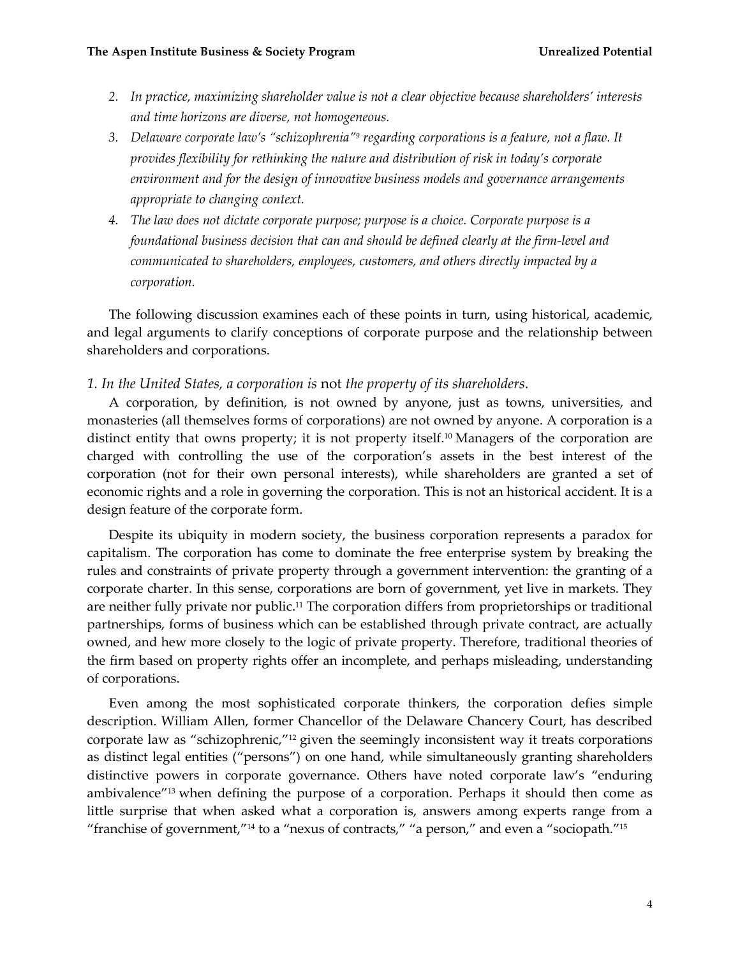- *2. In practice, maximizing shareholder value is not a clear objective because shareholders' interests and time horizons are diverse, not homogeneous.*
- *3. Delaware corporate law's "schizophrenia"<sup>9</sup> regarding corporations is a feature, not a flaw. It provides flexibility for rethinking the nature and distribution of risk in today's corporate environment and for the design of innovative business models and governance arrangements appropriate to changing context.*
- *4. The law does not dictate corporate purpose; purpose is a choice. Corporate purpose is a foundational business decision that can and should be defined clearly at the firm-level and communicated to shareholders, employees, customers, and others directly impacted by a corporation.*

The following discussion examines each of these points in turn, using historical, academic, and legal arguments to clarify conceptions of corporate purpose and the relationship between shareholders and corporations.

#### *1. In the United States, a corporation is* not *the property of its shareholders.*

A corporation, by definition, is not owned by anyone, just as towns, universities, and monasteries (all themselves forms of corporations) are not owned by anyone. A corporation is a distinct entity that owns property; it is not property itself.<sup>10</sup> Managers of the corporation are charged with controlling the use of the corporation's assets in the best interest of the corporation (not for their own personal interests), while shareholders are granted a set of economic rights and a role in governing the corporation. This is not an historical accident. It is a design feature of the corporate form.

Despite its ubiquity in modern society, the business corporation represents a paradox for capitalism. The corporation has come to dominate the free enterprise system by breaking the rules and constraints of private property through a government intervention: the granting of a corporate charter. In this sense, corporations are born of government, yet live in markets. They are neither fully private nor public.<sup>11</sup> The corporation differs from proprietorships or traditional partnerships, forms of business which can be established through private contract, are actually owned, and hew more closely to the logic of private property. Therefore, traditional theories of the firm based on property rights offer an incomplete, and perhaps misleading, understanding of corporations.

Even among the most sophisticated corporate thinkers, the corporation defies simple description. William Allen, former Chancellor of the Delaware Chancery Court, has described corporate law as "schizophrenic,"<sup>12</sup> given the seemingly inconsistent way it treats corporations as distinct legal entities ("persons") on one hand, while simultaneously granting shareholders distinctive powers in corporate governance. Others have noted corporate law's "enduring ambivalence"<sup>13</sup> when defining the purpose of a corporation. Perhaps it should then come as little surprise that when asked what a corporation is, answers among experts range from a "franchise of government,"<sup>14</sup> to a "nexus of contracts," "a person," and even a "sociopath."<sup>15</sup>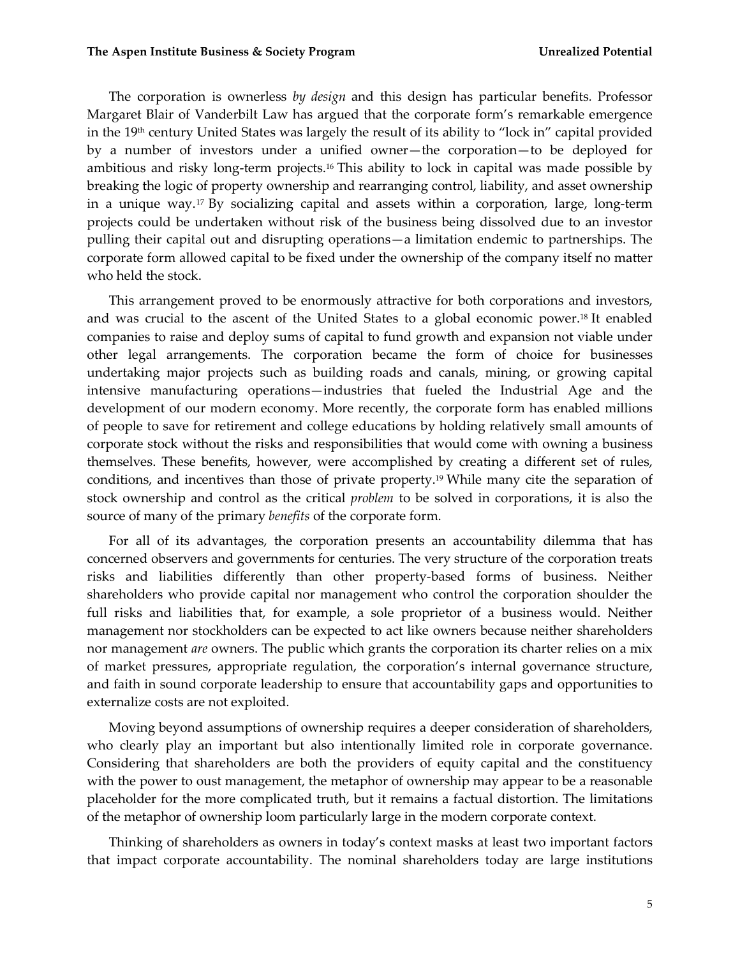The corporation is ownerless *by design* and this design has particular benefits*.* Professor Margaret Blair of Vanderbilt Law has argued that the corporate form's remarkable emergence in the 19<sup>th</sup> century United States was largely the result of its ability to "lock in" capital provided by a number of investors under a unified owner—the corporation—to be deployed for ambitious and risky long-term projects.<sup>16</sup> This ability to lock in capital was made possible by breaking the logic of property ownership and rearranging control, liability, and asset ownership in a unique way.<sup>17</sup> By socializing capital and assets within a corporation, large, long-term projects could be undertaken without risk of the business being dissolved due to an investor pulling their capital out and disrupting operations—a limitation endemic to partnerships. The corporate form allowed capital to be fixed under the ownership of the company itself no matter who held the stock.

This arrangement proved to be enormously attractive for both corporations and investors, and was crucial to the ascent of the United States to a global economic power.<sup>18</sup> It enabled companies to raise and deploy sums of capital to fund growth and expansion not viable under other legal arrangements. The corporation became the form of choice for businesses undertaking major projects such as building roads and canals, mining, or growing capital intensive manufacturing operations—industries that fueled the Industrial Age and the development of our modern economy. More recently, the corporate form has enabled millions of people to save for retirement and college educations by holding relatively small amounts of corporate stock without the risks and responsibilities that would come with owning a business themselves. These benefits, however, were accomplished by creating a different set of rules, conditions, and incentives than those of private property.<sup>19</sup> While many cite the separation of stock ownership and control as the critical *problem* to be solved in corporations, it is also the source of many of the primary *benefits* of the corporate form.

For all of its advantages, the corporation presents an accountability dilemma that has concerned observers and governments for centuries. The very structure of the corporation treats risks and liabilities differently than other property-based forms of business. Neither shareholders who provide capital nor management who control the corporation shoulder the full risks and liabilities that, for example, a sole proprietor of a business would. Neither management nor stockholders can be expected to act like owners because neither shareholders nor management *are* owners. The public which grants the corporation its charter relies on a mix of market pressures, appropriate regulation, the corporation's internal governance structure, and faith in sound corporate leadership to ensure that accountability gaps and opportunities to externalize costs are not exploited.

Moving beyond assumptions of ownership requires a deeper consideration of shareholders, who clearly play an important but also intentionally limited role in corporate governance. Considering that shareholders are both the providers of equity capital and the constituency with the power to oust management, the metaphor of ownership may appear to be a reasonable placeholder for the more complicated truth, but it remains a factual distortion. The limitations of the metaphor of ownership loom particularly large in the modern corporate context.

Thinking of shareholders as owners in today's context masks at least two important factors that impact corporate accountability. The nominal shareholders today are large institutions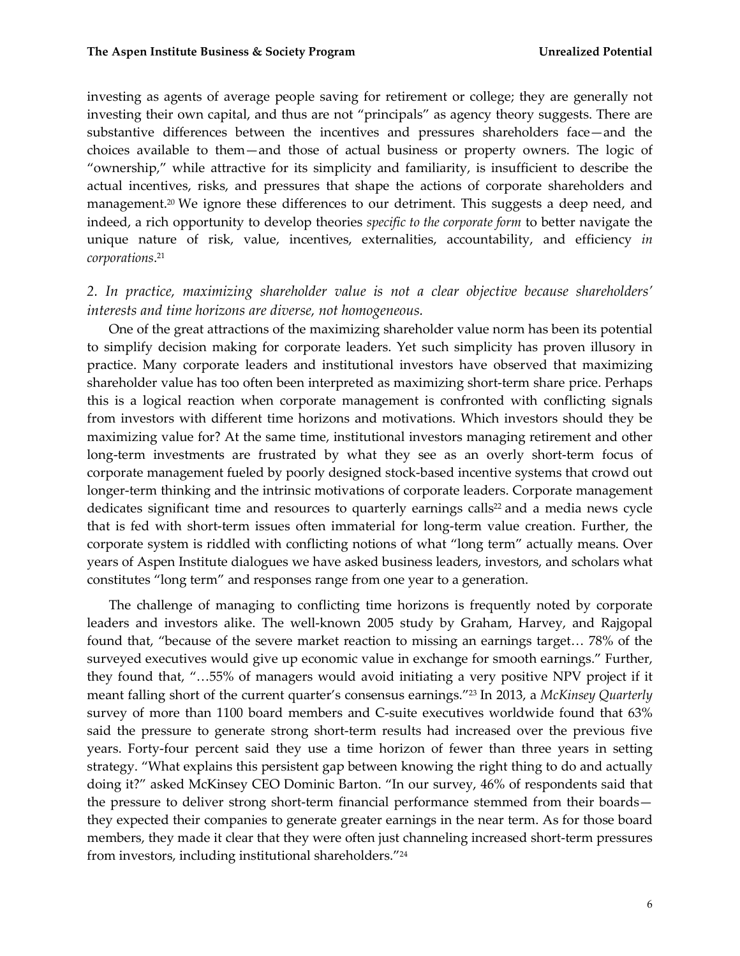investing as agents of average people saving for retirement or college; they are generally not investing their own capital, and thus are not "principals" as agency theory suggests. There are substantive differences between the incentives and pressures shareholders face—and the choices available to them—and those of actual business or property owners. The logic of "ownership," while attractive for its simplicity and familiarity, is insufficient to describe the actual incentives, risks, and pressures that shape the actions of corporate shareholders and management.<sup>20</sup> We ignore these differences to our detriment. This suggests a deep need, and indeed, a rich opportunity to develop theories *specific to the corporate form* to better navigate the unique nature of risk, value, incentives, externalities, accountability, and efficiency *in corporations*. 21

# *2. In practice, maximizing shareholder value is not a clear objective because shareholders' interests and time horizons are diverse, not homogeneous.*

One of the great attractions of the maximizing shareholder value norm has been its potential to simplify decision making for corporate leaders. Yet such simplicity has proven illusory in practice. Many corporate leaders and institutional investors have observed that maximizing shareholder value has too often been interpreted as maximizing short-term share price. Perhaps this is a logical reaction when corporate management is confronted with conflicting signals from investors with different time horizons and motivations. Which investors should they be maximizing value for? At the same time, institutional investors managing retirement and other long-term investments are frustrated by what they see as an overly short-term focus of corporate management fueled by poorly designed stock-based incentive systems that crowd out longer-term thinking and the intrinsic motivations of corporate leaders. Corporate management dedicates significant time and resources to quarterly earnings calls<sup>22</sup> and a media news cycle that is fed with short-term issues often immaterial for long-term value creation. Further, the corporate system is riddled with conflicting notions of what "long term" actually means. Over years of Aspen Institute dialogues we have asked business leaders, investors, and scholars what constitutes "long term" and responses range from one year to a generation.

The challenge of managing to conflicting time horizons is frequently noted by corporate leaders and investors alike. The well-known 2005 study by Graham, Harvey, and Rajgopal found that, "because of the severe market reaction to missing an earnings target… 78% of the surveyed executives would give up economic value in exchange for smooth earnings." Further, they found that, "…55% of managers would avoid initiating a very positive NPV project if it meant falling short of the current quarter's consensus earnings."<sup>23</sup> In 2013, a *McKinsey Quarterly* survey of more than 1100 board members and C-suite executives worldwide found that 63% said the pressure to generate strong short-term results had increased over the previous five years. Forty-four percent said they use a time horizon of fewer than three years in setting strategy. "What explains this persistent gap between knowing the right thing to do and actually doing it?" asked McKinsey CEO Dominic Barton. "In our survey, 46% of respondents said that the pressure to deliver strong short-term financial performance stemmed from their boards they expected their companies to generate greater earnings in the near term. As for those board members, they made it clear that they were often just channeling increased short-term pressures from investors, including institutional shareholders."<sup>24</sup>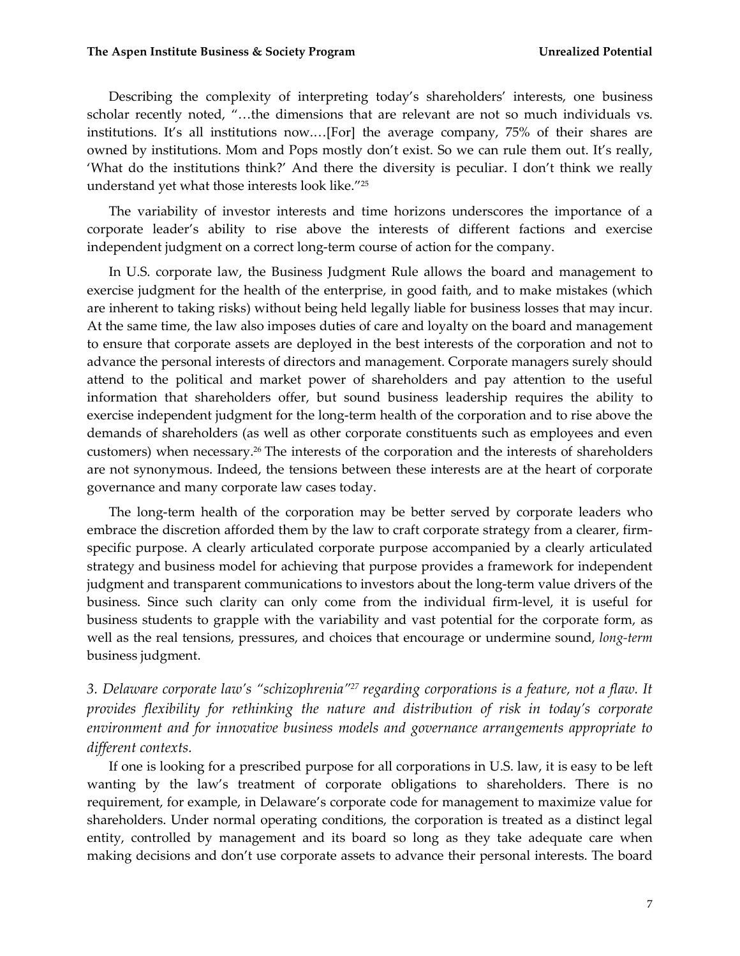Describing the complexity of interpreting today's shareholders' interests, one business scholar recently noted, "…the dimensions that are relevant are not so much individuals vs. institutions. It's all institutions now.…[For] the average company, 75% of their shares are owned by institutions. Mom and Pops mostly don't exist. So we can rule them out. It's really, 'What do the institutions think?' And there the diversity is peculiar. I don't think we really understand yet what those interests look like." 25

The variability of investor interests and time horizons underscores the importance of a corporate leader's ability to rise above the interests of different factions and exercise independent judgment on a correct long-term course of action for the company.

In U.S. corporate law, the Business Judgment Rule allows the board and management to exercise judgment for the health of the enterprise, in good faith, and to make mistakes (which are inherent to taking risks) without being held legally liable for business losses that may incur. At the same time, the law also imposes duties of care and loyalty on the board and management to ensure that corporate assets are deployed in the best interests of the corporation and not to advance the personal interests of directors and management. Corporate managers surely should attend to the political and market power of shareholders and pay attention to the useful information that shareholders offer, but sound business leadership requires the ability to exercise independent judgment for the long-term health of the corporation and to rise above the demands of shareholders (as well as other corporate constituents such as employees and even customers) when necessary.<sup>26</sup> The interests of the corporation and the interests of shareholders are not synonymous. Indeed, the tensions between these interests are at the heart of corporate governance and many corporate law cases today.

The long-term health of the corporation may be better served by corporate leaders who embrace the discretion afforded them by the law to craft corporate strategy from a clearer, firmspecific purpose. A clearly articulated corporate purpose accompanied by a clearly articulated strategy and business model for achieving that purpose provides a framework for independent judgment and transparent communications to investors about the long-term value drivers of the business. Since such clarity can only come from the individual firm-level, it is useful for business students to grapple with the variability and vast potential for the corporate form, as well as the real tensions, pressures, and choices that encourage or undermine sound, *long-term* business judgment.

*3. Delaware corporate law's "schizophrenia"<sup>27</sup> regarding corporations is a feature, not a flaw. It provides flexibility for rethinking the nature and distribution of risk in today's corporate environment and for innovative business models and governance arrangements appropriate to different contexts.*

If one is looking for a prescribed purpose for all corporations in U.S. law, it is easy to be left wanting by the law's treatment of corporate obligations to shareholders. There is no requirement, for example, in Delaware's corporate code for management to maximize value for shareholders. Under normal operating conditions, the corporation is treated as a distinct legal entity, controlled by management and its board so long as they take adequate care when making decisions and don't use corporate assets to advance their personal interests. The board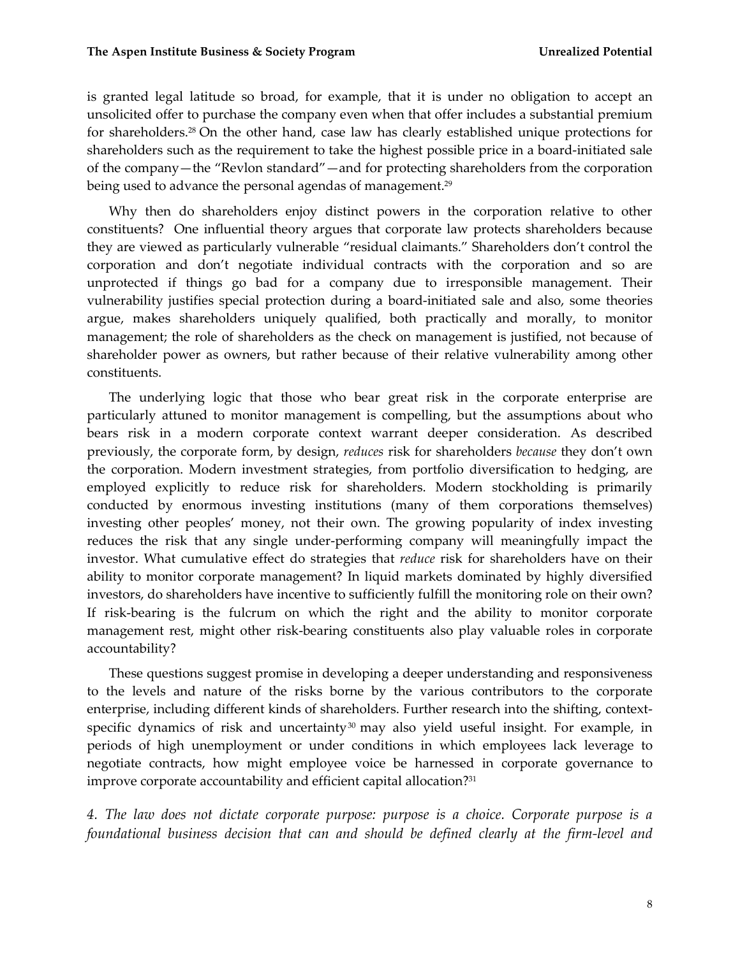is granted legal latitude so broad, for example, that it is under no obligation to accept an unsolicited offer to purchase the company even when that offer includes a substantial premium for shareholders.<sup>28</sup> On the other hand, case law has clearly established unique protections for shareholders such as the requirement to take the highest possible price in a board-initiated sale of the company—the "Revlon standard"—and for protecting shareholders from the corporation being used to advance the personal agendas of management.<sup>29</sup>

Why then do shareholders enjoy distinct powers in the corporation relative to other constituents? One influential theory argues that corporate law protects shareholders because they are viewed as particularly vulnerable "residual claimants." Shareholders don't control the corporation and don't negotiate individual contracts with the corporation and so are unprotected if things go bad for a company due to irresponsible management. Their vulnerability justifies special protection during a board-initiated sale and also, some theories argue, makes shareholders uniquely qualified, both practically and morally, to monitor management; the role of shareholders as the check on management is justified, not because of shareholder power as owners, but rather because of their relative vulnerability among other constituents.

The underlying logic that those who bear great risk in the corporate enterprise are particularly attuned to monitor management is compelling, but the assumptions about who bears risk in a modern corporate context warrant deeper consideration. As described previously, the corporate form, by design, *reduces* risk for shareholders *because* they don't own the corporation. Modern investment strategies, from portfolio diversification to hedging, are employed explicitly to reduce risk for shareholders. Modern stockholding is primarily conducted by enormous investing institutions (many of them corporations themselves) investing other peoples' money, not their own. The growing popularity of index investing reduces the risk that any single under-performing company will meaningfully impact the investor. What cumulative effect do strategies that *reduce* risk for shareholders have on their ability to monitor corporate management? In liquid markets dominated by highly diversified investors, do shareholders have incentive to sufficiently fulfill the monitoring role on their own? If risk-bearing is the fulcrum on which the right and the ability to monitor corporate management rest, might other risk-bearing constituents also play valuable roles in corporate accountability?

These questions suggest promise in developing a deeper understanding and responsiveness to the levels and nature of the risks borne by the various contributors to the corporate enterprise, including different kinds of shareholders. Further research into the shifting, contextspecific dynamics of risk and uncertainty $30$  may also yield useful insight. For example, in periods of high unemployment or under conditions in which employees lack leverage to negotiate contracts, how might employee voice be harnessed in corporate governance to improve corporate accountability and efficient capital allocation?<sup>31</sup>

*4. The law does not dictate corporate purpose: purpose is a choice. Corporate purpose is a foundational business decision that can and should be defined clearly at the firm-level and*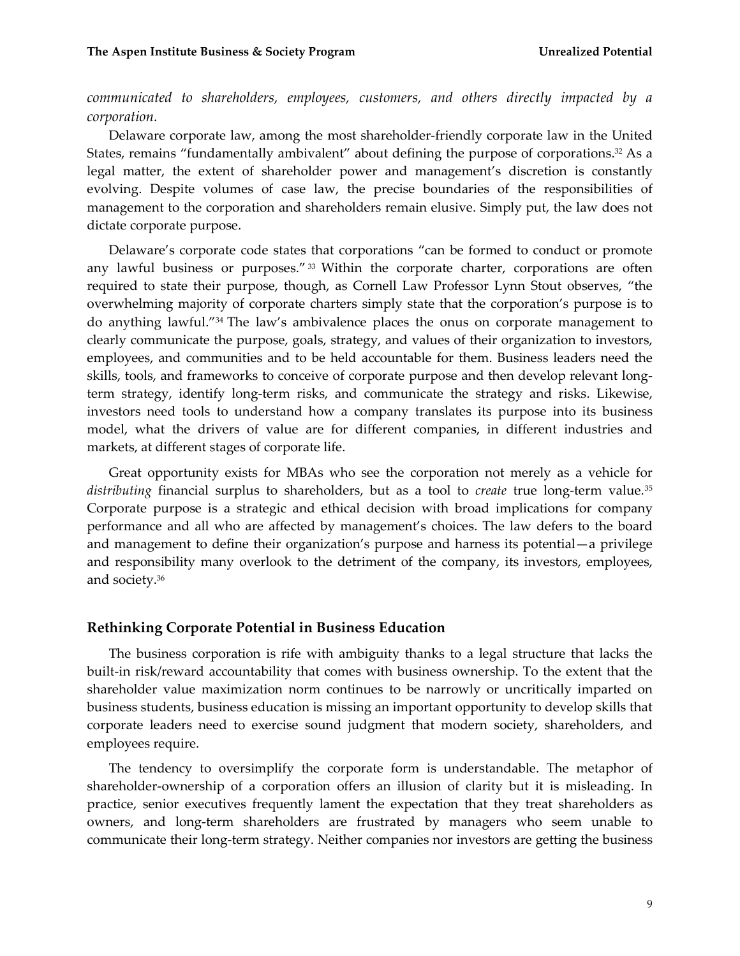*communicated to shareholders, employees, customers, and others directly impacted by a corporation.*

Delaware corporate law, among the most shareholder-friendly corporate law in the United States, remains "fundamentally ambivalent" about defining the purpose of corporations.<sup>32</sup> As a legal matter, the extent of shareholder power and management's discretion is constantly evolving. Despite volumes of case law, the precise boundaries of the responsibilities of management to the corporation and shareholders remain elusive. Simply put, the law does not dictate corporate purpose.

Delaware's corporate code states that corporations "can be formed to conduct or promote any lawful business or purposes." $33$  Within the corporate charter, corporations are often required to state their purpose, though, as Cornell Law Professor Lynn Stout observes, "the overwhelming majority of corporate charters simply state that the corporation's purpose is to do anything lawful."<sup>34</sup> The law's ambivalence places the onus on corporate management to clearly communicate the purpose, goals, strategy, and values of their organization to investors, employees, and communities and to be held accountable for them. Business leaders need the skills, tools, and frameworks to conceive of corporate purpose and then develop relevant longterm strategy, identify long-term risks, and communicate the strategy and risks. Likewise, investors need tools to understand how a company translates its purpose into its business model, what the drivers of value are for different companies, in different industries and markets, at different stages of corporate life.

Great opportunity exists for MBAs who see the corporation not merely as a vehicle for *distributing* financial surplus to shareholders, but as a tool to *create* true long-term value.<sup>35</sup> Corporate purpose is a strategic and ethical decision with broad implications for company performance and all who are affected by management's choices. The law defers to the board and management to define their organization's purpose and harness its potential—a privilege and responsibility many overlook to the detriment of the company, its investors, employees, and society.<sup>36</sup>

#### **Rethinking Corporate Potential in Business Education**

The business corporation is rife with ambiguity thanks to a legal structure that lacks the built-in risk/reward accountability that comes with business ownership. To the extent that the shareholder value maximization norm continues to be narrowly or uncritically imparted on business students, business education is missing an important opportunity to develop skills that corporate leaders need to exercise sound judgment that modern society, shareholders, and employees require.

The tendency to oversimplify the corporate form is understandable. The metaphor of shareholder-ownership of a corporation offers an illusion of clarity but it is misleading. In practice, senior executives frequently lament the expectation that they treat shareholders as owners, and long-term shareholders are frustrated by managers who seem unable to communicate their long-term strategy. Neither companies nor investors are getting the business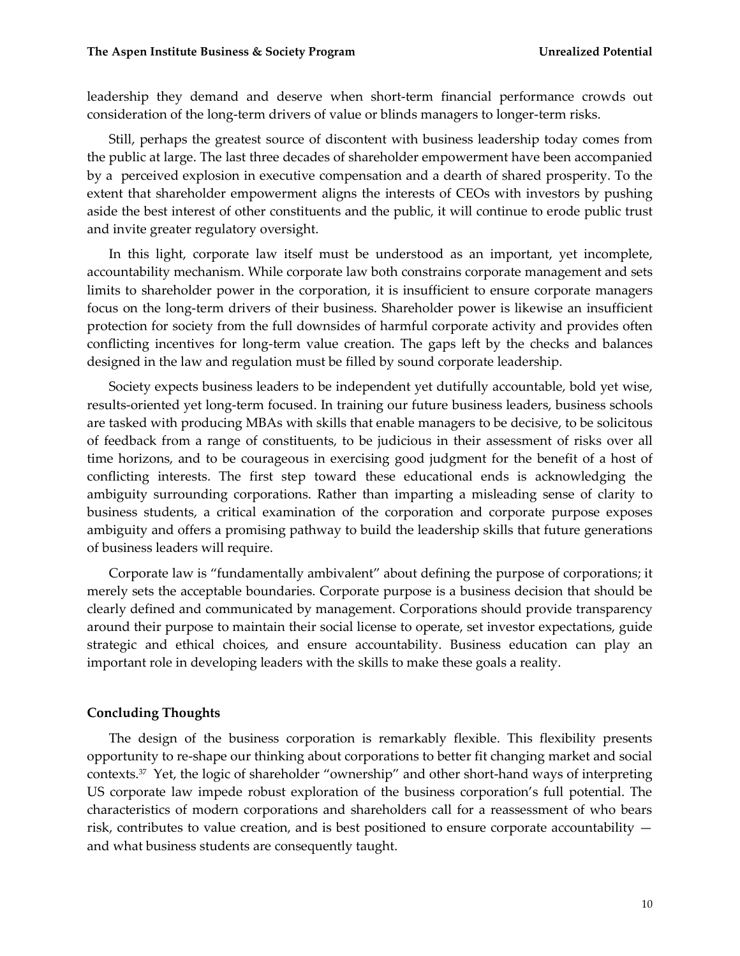leadership they demand and deserve when short-term financial performance crowds out consideration of the long-term drivers of value or blinds managers to longer-term risks.

Still, perhaps the greatest source of discontent with business leadership today comes from the public at large. The last three decades of shareholder empowerment have been accompanied by a perceived explosion in executive compensation and a dearth of shared prosperity. To the extent that shareholder empowerment aligns the interests of CEOs with investors by pushing aside the best interest of other constituents and the public, it will continue to erode public trust and invite greater regulatory oversight.

In this light, corporate law itself must be understood as an important, yet incomplete, accountability mechanism. While corporate law both constrains corporate management and sets limits to shareholder power in the corporation, it is insufficient to ensure corporate managers focus on the long-term drivers of their business. Shareholder power is likewise an insufficient protection for society from the full downsides of harmful corporate activity and provides often conflicting incentives for long-term value creation. The gaps left by the checks and balances designed in the law and regulation must be filled by sound corporate leadership.

Society expects business leaders to be independent yet dutifully accountable, bold yet wise, results-oriented yet long-term focused. In training our future business leaders, business schools are tasked with producing MBAs with skills that enable managers to be decisive, to be solicitous of feedback from a range of constituents, to be judicious in their assessment of risks over all time horizons, and to be courageous in exercising good judgment for the benefit of a host of conflicting interests. The first step toward these educational ends is acknowledging the ambiguity surrounding corporations. Rather than imparting a misleading sense of clarity to business students, a critical examination of the corporation and corporate purpose exposes ambiguity and offers a promising pathway to build the leadership skills that future generations of business leaders will require.

Corporate law is "fundamentally ambivalent" about defining the purpose of corporations; it merely sets the acceptable boundaries. Corporate purpose is a business decision that should be clearly defined and communicated by management. Corporations should provide transparency around their purpose to maintain their social license to operate, set investor expectations, guide strategic and ethical choices, and ensure accountability. Business education can play an important role in developing leaders with the skills to make these goals a reality.

#### **Concluding Thoughts**

The design of the business corporation is remarkably flexible. This flexibility presents opportunity to re-shape our thinking about corporations to better fit changing market and social contexts.<sup>37</sup> Yet, the logic of shareholder "ownership" and other short-hand ways of interpreting US corporate law impede robust exploration of the business corporation's full potential. The characteristics of modern corporations and shareholders call for a reassessment of who bears risk, contributes to value creation, and is best positioned to ensure corporate accountability and what business students are consequently taught.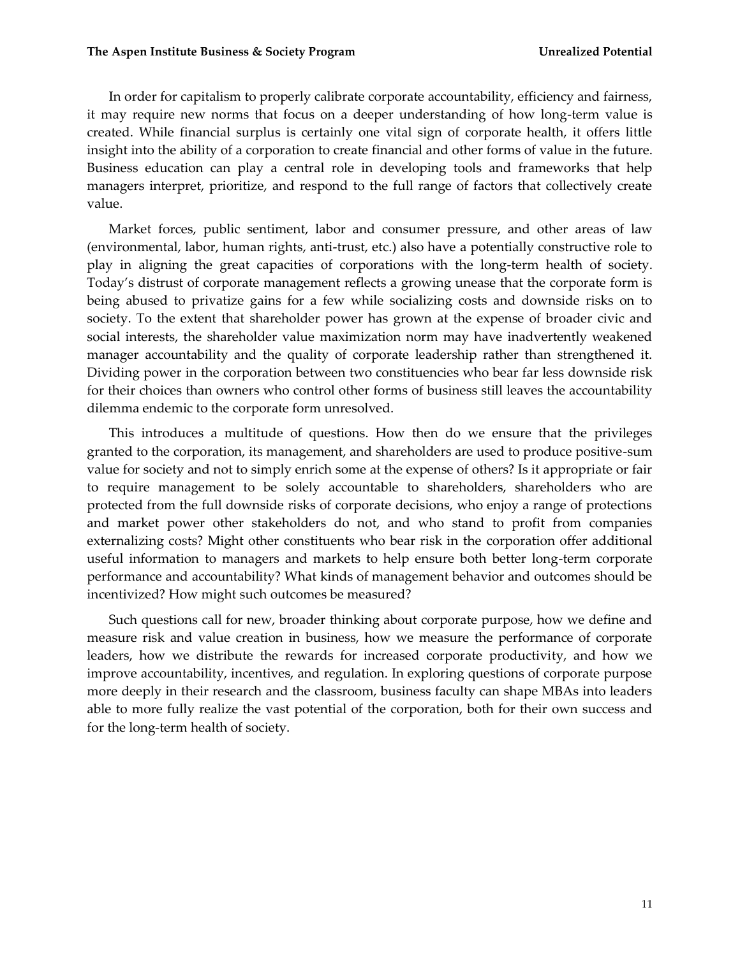In order for capitalism to properly calibrate corporate accountability, efficiency and fairness, it may require new norms that focus on a deeper understanding of how long-term value is created. While financial surplus is certainly one vital sign of corporate health, it offers little insight into the ability of a corporation to create financial and other forms of value in the future. Business education can play a central role in developing tools and frameworks that help managers interpret, prioritize, and respond to the full range of factors that collectively create value.

Market forces, public sentiment, labor and consumer pressure, and other areas of law (environmental, labor, human rights, anti-trust, etc.) also have a potentially constructive role to play in aligning the great capacities of corporations with the long-term health of society. Today's distrust of corporate management reflects a growing unease that the corporate form is being abused to privatize gains for a few while socializing costs and downside risks on to society. To the extent that shareholder power has grown at the expense of broader civic and social interests, the shareholder value maximization norm may have inadvertently weakened manager accountability and the quality of corporate leadership rather than strengthened it. Dividing power in the corporation between two constituencies who bear far less downside risk for their choices than owners who control other forms of business still leaves the accountability dilemma endemic to the corporate form unresolved.

This introduces a multitude of questions. How then do we ensure that the privileges granted to the corporation, its management, and shareholders are used to produce positive-sum value for society and not to simply enrich some at the expense of others? Is it appropriate or fair to require management to be solely accountable to shareholders, shareholders who are protected from the full downside risks of corporate decisions, who enjoy a range of protections and market power other stakeholders do not, and who stand to profit from companies externalizing costs? Might other constituents who bear risk in the corporation offer additional useful information to managers and markets to help ensure both better long-term corporate performance and accountability? What kinds of management behavior and outcomes should be incentivized? How might such outcomes be measured?

Such questions call for new, broader thinking about corporate purpose, how we define and measure risk and value creation in business, how we measure the performance of corporate leaders, how we distribute the rewards for increased corporate productivity, and how we improve accountability, incentives, and regulation. In exploring questions of corporate purpose more deeply in their research and the classroom, business faculty can shape MBAs into leaders able to more fully realize the vast potential of the corporation, both for their own success and for the long-term health of society.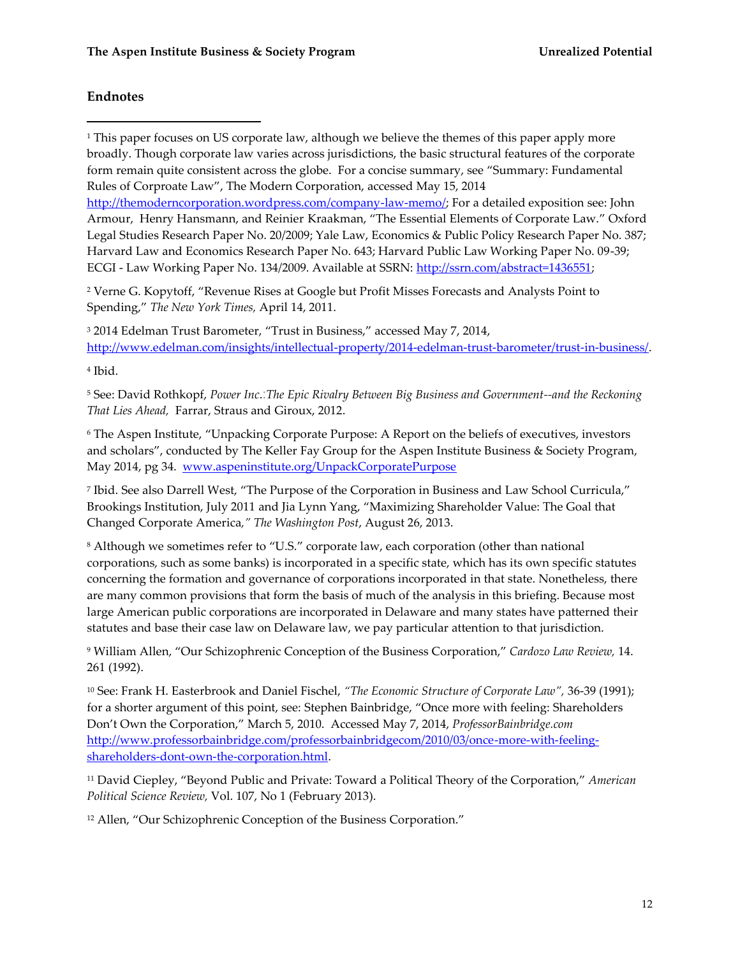## **Endnotes**

 $\overline{a}$ 

<sup>1</sup> This paper focuses on US corporate law, although we believe the themes of this paper apply more broadly. Though corporate law varies across jurisdictions, the basic structural features of the corporate form remain quite consistent across the globe. For a concise summary, see "Summary: Fundamental Rules of Corproate Law", The Modern Corporation, accessed May 15, 2014 [http://themoderncorporation.wordpress.com/company-law-memo/;](http://themoderncorporation.wordpress.com/company-law-memo/) For a detailed exposition see: John

Armour, Henry Hansmann, and Reinier Kraakman, "The Essential Elements of Corporate Law." Oxford Legal Studies Research Paper No. 20/2009; Yale Law, Economics & Public Policy Research Paper No. 387; Harvard Law and Economics Research Paper No. 643; Harvard Public Law Working Paper No. 09-39; ECGI - Law Working Paper No. 134/2009. Available at SSRN: [http://ssrn.com/abstract=1436551;](http://ssrn.com/abstract=1436551)

<sup>2</sup> Verne G. Kopytoff, "Revenue Rises at Google but Profit Misses Forecasts and Analysts Point to Spending," *The New York Times,* April 14, 2011.

<sup>3</sup> 2014 Edelman Trust Barometer, "Trust in Business," accessed May 7, 2014, [http://www.edelman.com/insights/intellectual-property/2014-edelman-trust-barometer/trust-in-business/.](http://www.edelman.com/insights/intellectual-property/2014-edelman-trust-barometer/trust-in-business/)

4 Ibid.

<sup>5</sup> See: David Rothkopf, *Power Inc*.:*The Epic Rivalry Between Big Business and Government--and the Reckoning That Lies Ahead,* Farrar, Straus and Giroux, 2012.

<sup>6</sup> The Aspen Institute, "Unpacking Corporate Purpose: A Report on the beliefs of executives, investors and scholars", conducted by The Keller Fay Group for the Aspen Institute Business & Society Program, May 2014, pg 34. [www.aspeninstitute.org/UnpackCorporatePurpose](http://www.aspeninstitute.org/UnpackCorporatePurpose)

7 Ibid. See also Darrell West, "The Purpose of the Corporation in Business and Law School Curricula," Brookings Institution, July 2011 and Jia Lynn Yang, "Maximizing Shareholder Value: The Goal that Changed Corporate America*," The Washington Post*, August 26, 2013.

<sup>8</sup> Although we sometimes refer to "U.S." corporate law, each corporation (other than national corporations, such as some banks) is incorporated in a specific state, which has its own specific statutes concerning the formation and governance of corporations incorporated in that state. Nonetheless, there are many common provisions that form the basis of much of the analysis in this briefing. Because most large American public corporations are incorporated in Delaware and many states have patterned their statutes and base their case law on Delaware law, we pay particular attention to that jurisdiction.

<sup>9</sup> William Allen, "Our Schizophrenic Conception of the Business Corporation," *Cardozo Law Review,* 14. 261 (1992).

<sup>10</sup> See: Frank H. Easterbrook and Daniel Fischel, *"The Economic Structure of Corporate Law",* 36-39 (1991); for a shorter argument of this point, see: Stephen Bainbridge, "Once more with feeling: Shareholders Don't Own the Corporation," March 5, 2010. Accessed May 7, 2014, *ProfessorBainbridge.com* [http://www.professorbainbridge.com/professorbainbridgecom/2010/03/once-more-with-feeling](http://www.professorbainbridge.com/professorbainbridgecom/2010/03/once-more-with-feeling-shareholders-dont-own-the-corporation.html)[shareholders-dont-own-the-corporation.html.](http://www.professorbainbridge.com/professorbainbridgecom/2010/03/once-more-with-feeling-shareholders-dont-own-the-corporation.html)

<sup>11</sup> David Ciepley, "Beyond Public and Private: Toward a Political Theory of the Corporation," *American Political Science Review,* Vol. 107, No 1 (February 2013).

<sup>12</sup> Allen, "Our Schizophrenic Conception of the Business Corporation."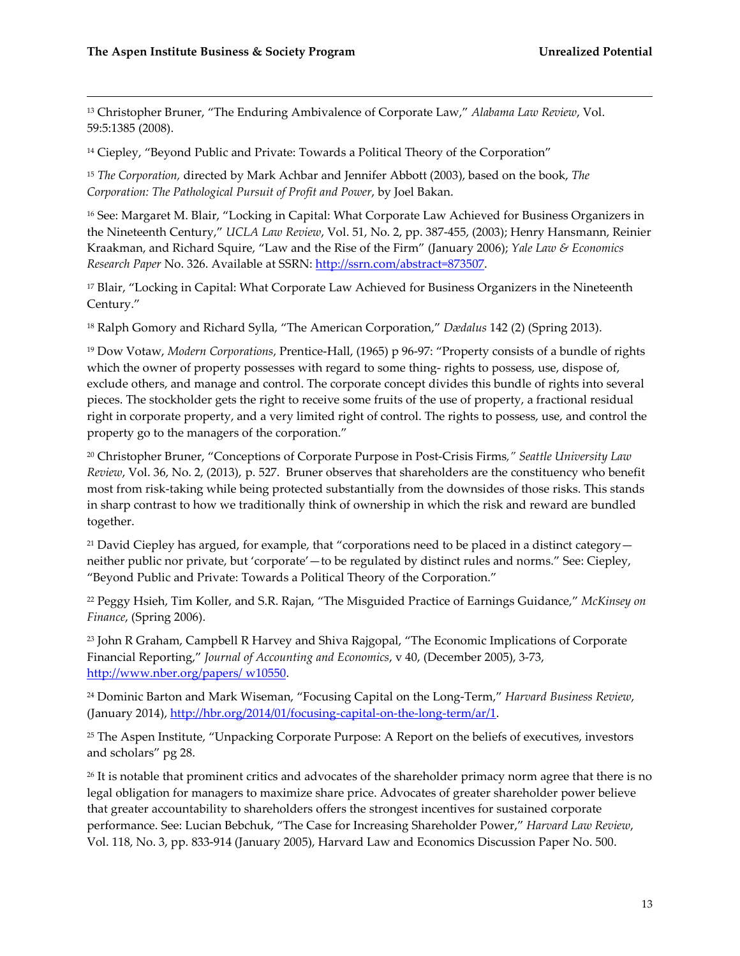$\overline{a}$ 

<sup>13</sup> Christopher Bruner, "The Enduring Ambivalence of Corporate Law," *Alabama Law Review*, Vol. 59:5:1385 (2008).

<sup>14</sup> Ciepley, "Beyond Public and Private: Towards a Political Theory of the Corporation"

<sup>15</sup> *The Corporation,* directed by Mark Achbar and Jennifer Abbott (2003), based on the book, *The Corporation: The Pathological Pursuit of Profit and Power*, by Joel Bakan.

<sup>16</sup> See: Margaret M. Blair, "Locking in Capital: What Corporate Law Achieved for Business Organizers in the Nineteenth Century," *UCLA Law Review*, Vol. 51, No. 2, pp. 387-455, (2003); Henry Hansmann, Reinier Kraakman, and Richard Squire, "Law and the Rise of the Firm" (January 2006); *Yale Law & Economics Research Paper* No. 326. Available at SSRN: [http://ssrn.com/abstract=873507.](http://ssrn.com/abstract=873507)

<sup>17</sup> Blair, "Locking in Capital: What Corporate Law Achieved for Business Organizers in the Nineteenth Century."

<sup>18</sup> Ralph Gomory and Richard Sylla, "The American Corporation," *Dædalus* 142 (2) (Spring 2013).

<sup>19</sup> Dow Votaw, *Modern Corporations*, Prentice-Hall, (1965) p 96-97: "Property consists of a bundle of rights which the owner of property possesses with regard to some thing- rights to possess, use, dispose of, exclude others, and manage and control. The corporate concept divides this bundle of rights into several pieces. The stockholder gets the right to receive some fruits of the use of property, a fractional residual right in corporate property, and a very limited right of control. The rights to possess, use, and control the property go to the managers of the corporation."

<sup>20</sup> Christopher Bruner, "Conceptions of Corporate Purpose in Post-Crisis Firms*," Seattle University Law Review*, Vol. 36, No. 2, (2013), p. 527. Bruner observes that shareholders are the constituency who benefit most from risk-taking while being protected substantially from the downsides of those risks. This stands in sharp contrast to how we traditionally think of ownership in which the risk and reward are bundled together.

<sup>21</sup> David Ciepley has argued, for example, that "corporations need to be placed in a distinct category  $$ neither public nor private, but 'corporate'—to be regulated by distinct rules and norms." See: Ciepley, "Beyond Public and Private: Towards a Political Theory of the Corporation."

<sup>22</sup> Peggy Hsieh, Tim Koller, and S.R. Rajan, "The Misguided Practice of Earnings Guidance," *McKinsey on Finance*, (Spring 2006).

<sup>23</sup> John R Graham, Campbell R Harvey and Shiva Rajgopal, "The Economic Implications of Corporate Financial Reporting," *Journal of Accounting and Economics*, v 40, (December 2005), 3-73, [http://www.nber.org/papers/](http://www.nber.org/papers/%20w10550) w10550.

<sup>24</sup> Dominic Barton and Mark Wiseman, "Focusing Capital on the Long-Term," *Harvard Business Review*, (January 2014), [http://hbr.org/2014/01/focusing-capital-on-the-long-term/ar/1.](http://hbr.org/2014/01/focusing-capital-on-the-long-term/ar/1)

<sup>25</sup> The Aspen Institute, "Unpacking Corporate Purpose: A Report on the beliefs of executives, investors and scholars" pg 28.

<sup>26</sup> It is notable that prominent critics and advocates of the shareholder primacy norm agree that there is no legal obligation for managers to maximize share price. Advocates of greater shareholder power believe that greater accountability to shareholders offers the strongest incentives for sustained corporate performance. See: Lucian Bebchuk, "The Case for Increasing Shareholder Power," *Harvard Law Review*, Vol. 118, No. 3, pp. 833-914 (January 2005), Harvard Law and Economics Discussion Paper No. 500.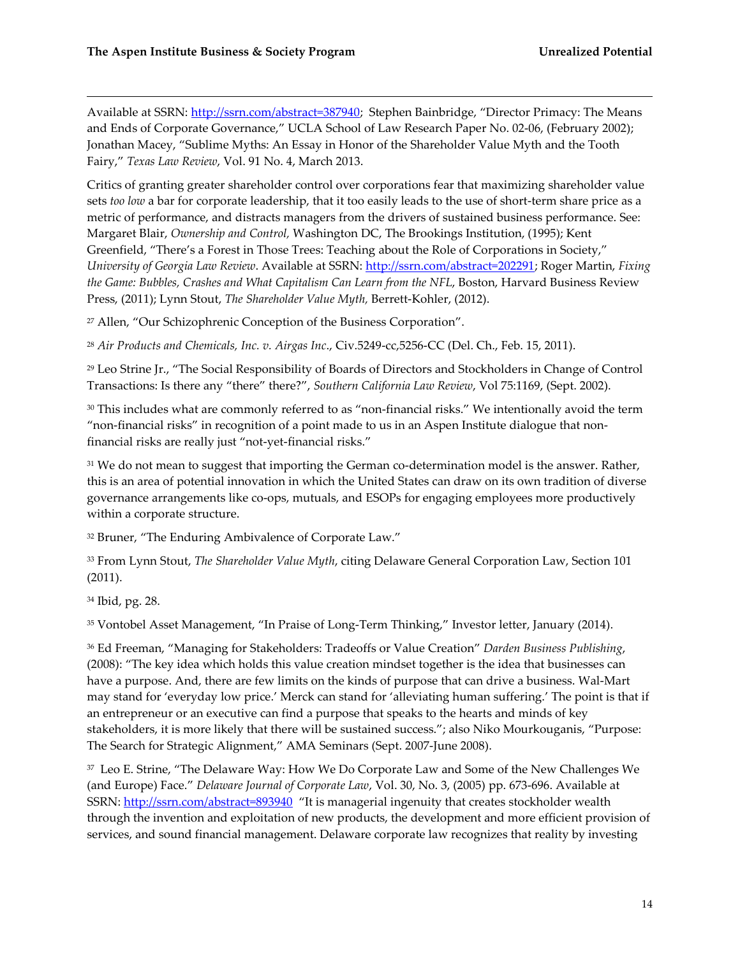Available at SSRN: [http://ssrn.com/abstract=387940;](http://ssrn.com/abstract=387940) Stephen Bainbridge, "Director Primacy: The Means and Ends of Corporate Governance," UCLA School of Law Research Paper No. 02-06, (February 2002); Jonathan Macey, "Sublime Myths: An Essay in Honor of the Shareholder Value Myth and the Tooth Fairy," *Texas Law Review*, Vol. 91 No. 4, March 2013.

Critics of granting greater shareholder control over corporations fear that maximizing shareholder value sets *too low* a bar for corporate leadership, that it too easily leads to the use of short-term share price as a metric of performance, and distracts managers from the drivers of sustained business performance. See: Margaret Blair, *Ownership and Control,* Washington DC, The Brookings Institution, (1995); Kent Greenfield, "There's a Forest in Those Trees: Teaching about the Role of Corporations in Society," *University of Georgia Law Review*. Available at SSRN: [http://ssrn.com/abstract=202291;](http://ssrn.com/abstract=202291) Roger Martin, *Fixing the Game: Bubbles, Crashes and What Capitalism Can Learn from the NFL*, Boston, Harvard Business Review Press, (2011); Lynn Stout, *The Shareholder Value Myth,* Berrett-Kohler, (2012).

<sup>27</sup> Allen, "Our Schizophrenic Conception of the Business Corporation".

<sup>28</sup> *Air Products and Chemicals, Inc. v. Airgas Inc*., Civ.5249-cc,5256-CC (Del. Ch., Feb. 15, 2011).

<sup>29</sup> Leo Strine Jr., "The Social Responsibility of Boards of Directors and Stockholders in Change of Control Transactions: Is there any "there" there?", *Southern California Law Review*, Vol 75:1169, (Sept. 2002).

<sup>30</sup> This includes what are commonly referred to as "non-financial risks." We intentionally avoid the term "non-financial risks" in recognition of a point made to us in an Aspen Institute dialogue that nonfinancial risks are really just "not-yet-financial risks."

<sup>31</sup> We do not mean to suggest that importing the German co-determination model is the answer. Rather, this is an area of potential innovation in which the United States can draw on its own tradition of diverse governance arrangements like co-ops, mutuals, and ESOPs for engaging employees more productively within a corporate structure.

<sup>32</sup> Bruner, "The Enduring Ambivalence of Corporate Law."

<sup>33</sup> From Lynn Stout, *The Shareholder Value Myth*, citing Delaware General Corporation Law, Section 101 (2011).

<sup>34</sup> Ibid, pg. 28.

 $\overline{a}$ 

<sup>35</sup> Vontobel Asset Management, "In Praise of Long-Term Thinking," Investor letter, January (2014).

<sup>36</sup> Ed Freeman, "Managing for Stakeholders: Tradeoffs or Value Creation" *Darden Business Publishing*, (2008): "The key idea which holds this value creation mindset together is the idea that businesses can have a purpose. And, there are few limits on the kinds of purpose that can drive a business. Wal-Mart may stand for 'everyday low price.' Merck can stand for 'alleviating human suffering.' The point is that if an entrepreneur or an executive can find a purpose that speaks to the hearts and minds of key stakeholders, it is more likely that there will be sustained success."; also Niko Mourkouganis, "Purpose: The Search for Strategic Alignment," AMA Seminars (Sept. 2007-June 2008).

 $^{\rm 37}$  Leo E. Strine, "The Delaware Way: How We Do Corporate Law and Some of the New Challenges We (and Europe) Face." *Delaware Journal of Corporate Law*, Vol. 30, No. 3, (2005) pp. 673-696. Available at SSRN:<http://ssrn.com/abstract=893940> "It is managerial ingenuity that creates stockholder wealth through the invention and exploitation of new products, the development and more efficient provision of services, and sound financial management. Delaware corporate law recognizes that reality by investing